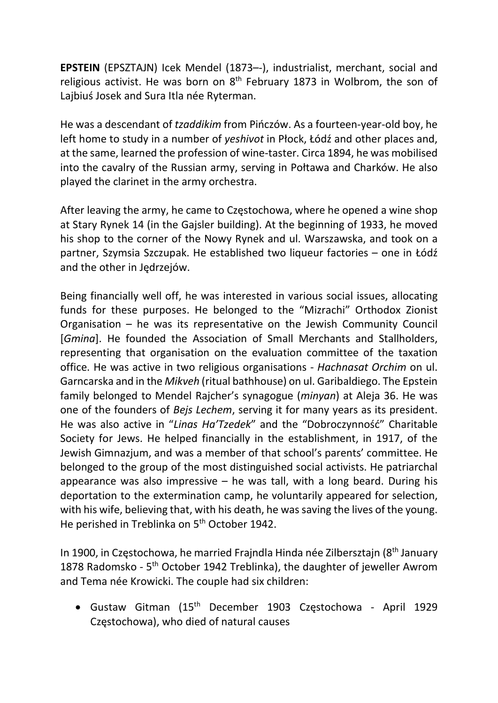EPSTEIN (EPSZTAJN) Icek Mendel (1873–-), industrialist, merchant, social and religious activist. He was born on  $8<sup>th</sup>$  February 1873 in Wolbrom, the son of Lajbiuś Josek and Sura Itla née Ryterman.

He was a descendant of tzaddikim from Pińczów. As a fourteen-year-old boy, he left home to study in a number of yeshivot in Płock, Łódź and other places and, at the same, learned the profession of wine-taster. Circa 1894, he was mobilised into the cavalry of the Russian army, serving in Połtawa and Charków. He also played the clarinet in the army orchestra.

After leaving the army, he came to Częstochowa, where he opened a wine shop at Stary Rynek 14 (in the Gajsler building). At the beginning of 1933, he moved his shop to the corner of the Nowy Rynek and ul. Warszawska, and took on a partner, Szymsia Szczupak. He established two liqueur factories – one in Łódź and the other in Jędrzejów.

Being financially well off, he was interested in various social issues, allocating funds for these purposes. He belonged to the "Mizrachi" Orthodox Zionist Organisation – he was its representative on the Jewish Community Council [Gmina]. He founded the Association of Small Merchants and Stallholders, representing that organisation on the evaluation committee of the taxation office. He was active in two religious organisations - Hachnasat Orchim on ul. Garncarska and in the Mikveh (ritual bathhouse) on ul. Garibaldiego. The Epstein family belonged to Mendel Rajcher's synagogue (minyan) at Aleja 36. He was one of the founders of Bejs Lechem, serving it for many years as its president. He was also active in "Linas Ha'Tzedek" and the "Dobroczynność" Charitable Society for Jews. He helped financially in the establishment, in 1917, of the Jewish Gimnazjum, and was a member of that school's parents' committee. He belonged to the group of the most distinguished social activists. He patriarchal appearance was also impressive  $-$  he was tall, with a long beard. During his deportation to the extermination camp, he voluntarily appeared for selection, with his wife, believing that, with his death, he was saving the lives of the young. He perished in Treblinka on 5<sup>th</sup> October 1942.

In 1900, in Częstochowa, he married Frajndla Hinda née Zilbersztajn (8th January 1878 Radomsko - 5<sup>th</sup> October 1942 Treblinka), the daughter of jeweller Awrom and Tema née Krowicki. The couple had six children:

 Gustaw Gitman (15th December 1903 Częstochowa - April 1929 Częstochowa), who died of natural causes